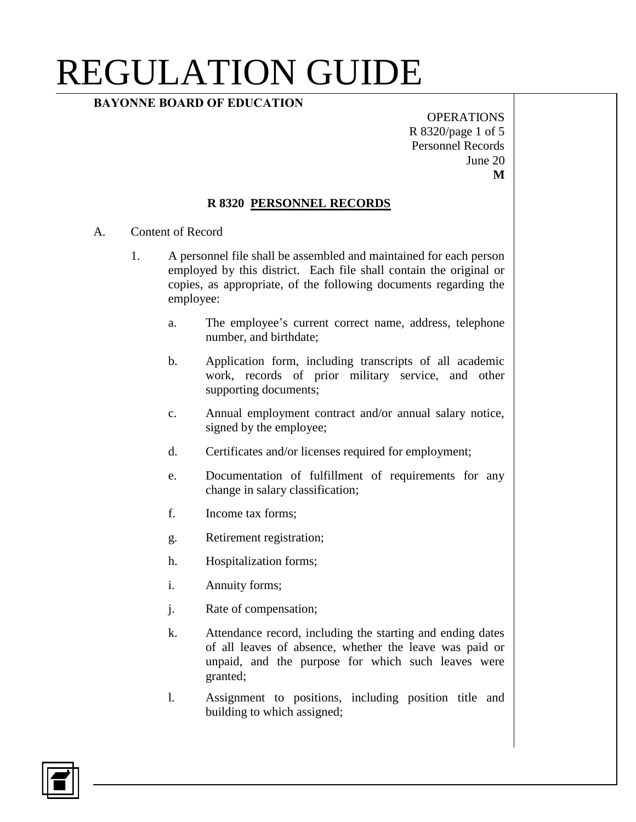### **BAYONNE BOARD OF EDUCATION**

**OPERATIONS** R 8320/page 1 of 5 Personnel Records June 20 **M**

### **R 8320 PERSONNEL RECORDS**

#### A. Content of Record

- 1. A personnel file shall be assembled and maintained for each person employed by this district. Each file shall contain the original or copies, as appropriate, of the following documents regarding the employee:
	- a. The employee's current correct name, address, telephone number, and birthdate;
	- b. Application form, including transcripts of all academic work, records of prior military service, and other supporting documents;
	- c. Annual employment contract and/or annual salary notice, signed by the employee;
	- d. Certificates and/or licenses required for employment;
	- e. Documentation of fulfillment of requirements for any change in salary classification;
	- f. Income tax forms;
	- g. Retirement registration;
	- h. Hospitalization forms;
	- i. Annuity forms;
	- j. Rate of compensation;
	- k. Attendance record, including the starting and ending dates of all leaves of absence, whether the leave was paid or unpaid, and the purpose for which such leaves were granted;
	- l. Assignment to positions, including position title and building to which assigned;

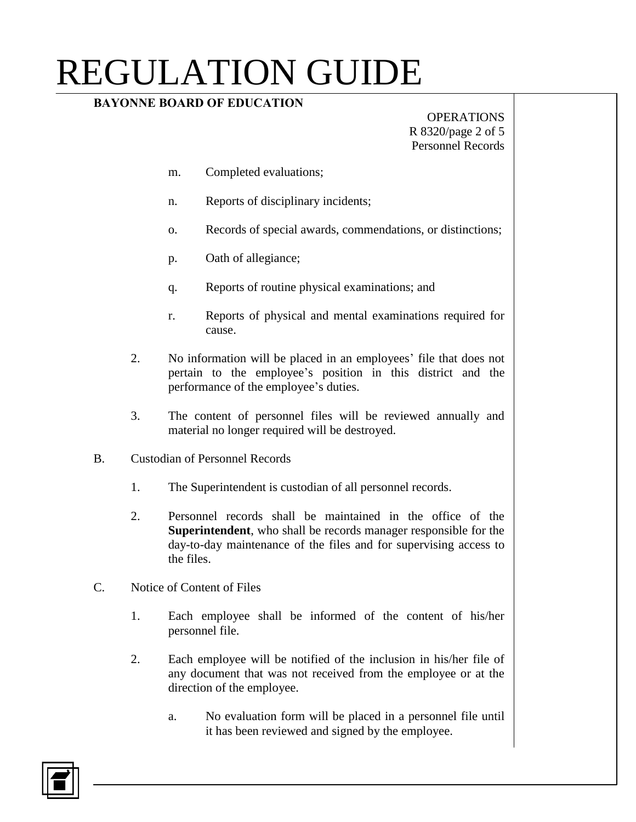### **BAYONNE BOARD OF EDUCATION**

### **OPERATIONS** R 8320/page 2 of 5 Personnel Records

- m. Completed evaluations;
- n. Reports of disciplinary incidents;
- o. Records of special awards, commendations, or distinctions;
- p. Oath of allegiance;
- q. Reports of routine physical examinations; and
- r. Reports of physical and mental examinations required for cause.
- 2. No information will be placed in an employees' file that does not pertain to the employee's position in this district and the performance of the employee's duties.
- 3. The content of personnel files will be reviewed annually and material no longer required will be destroyed.
- B. Custodian of Personnel Records
	- 1. The Superintendent is custodian of all personnel records.
	- 2. Personnel records shall be maintained in the office of the **Superintendent**, who shall be records manager responsible for the day-to-day maintenance of the files and for supervising access to the files.
- C. Notice of Content of Files
	- 1. Each employee shall be informed of the content of his/her personnel file.
	- 2. Each employee will be notified of the inclusion in his/her file of any document that was not received from the employee or at the direction of the employee.
		- a. No evaluation form will be placed in a personnel file until it has been reviewed and signed by the employee.

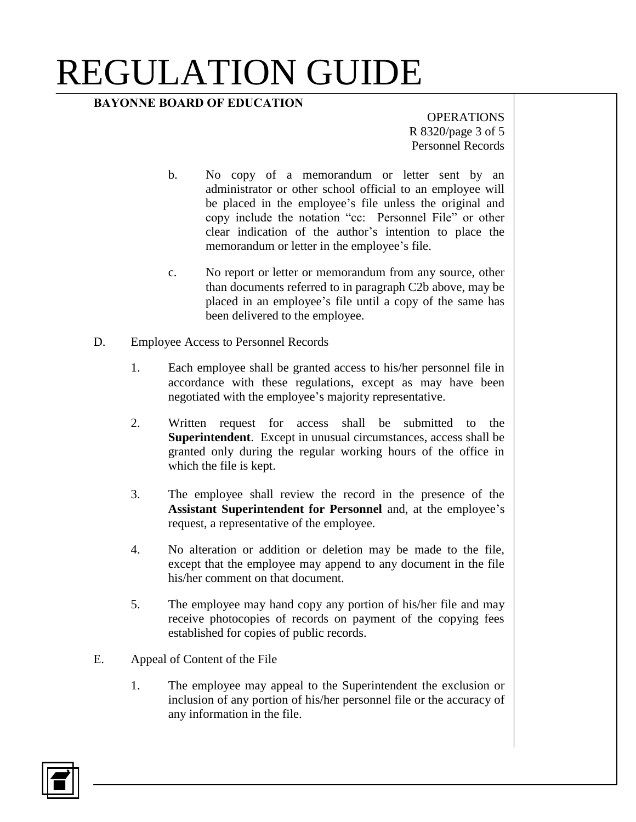### **BAYONNE BOARD OF EDUCATION**

**OPERATIONS** R 8320/page 3 of 5 Personnel Records

- b. No copy of a memorandum or letter sent by an administrator or other school official to an employee will be placed in the employee's file unless the original and copy include the notation "cc: Personnel File" or other clear indication of the author's intention to place the memorandum or letter in the employee's file.
- c. No report or letter or memorandum from any source, other than documents referred to in paragraph C2b above, may be placed in an employee's file until a copy of the same has been delivered to the employee.
- D. Employee Access to Personnel Records
	- 1. Each employee shall be granted access to his/her personnel file in accordance with these regulations, except as may have been negotiated with the employee's majority representative.
	- 2. Written request for access shall be submitted to the **Superintendent**. Except in unusual circumstances, access shall be granted only during the regular working hours of the office in which the file is kept.
	- 3. The employee shall review the record in the presence of the **Assistant Superintendent for Personnel** and, at the employee's request, a representative of the employee.
	- 4. No alteration or addition or deletion may be made to the file, except that the employee may append to any document in the file his/her comment on that document.
	- 5. The employee may hand copy any portion of his/her file and may receive photocopies of records on payment of the copying fees established for copies of public records.
- E. Appeal of Content of the File
	- 1. The employee may appeal to the Superintendent the exclusion or inclusion of any portion of his/her personnel file or the accuracy of any information in the file.

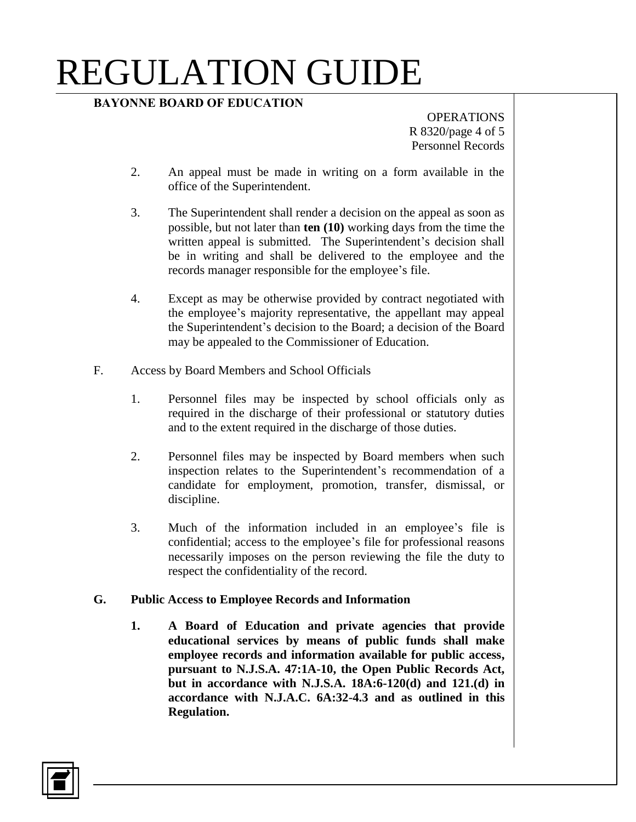### **BAYONNE BOARD OF EDUCATION**

**OPERATIONS** R 8320/page 4 of 5 Personnel Records

- 2. An appeal must be made in writing on a form available in the office of the Superintendent.
- 3. The Superintendent shall render a decision on the appeal as soon as possible, but not later than **ten (10)** working days from the time the written appeal is submitted. The Superintendent's decision shall be in writing and shall be delivered to the employee and the records manager responsible for the employee's file.
- 4. Except as may be otherwise provided by contract negotiated with the employee's majority representative, the appellant may appeal the Superintendent's decision to the Board; a decision of the Board may be appealed to the Commissioner of Education.
- F. Access by Board Members and School Officials
	- 1. Personnel files may be inspected by school officials only as required in the discharge of their professional or statutory duties and to the extent required in the discharge of those duties.
	- 2. Personnel files may be inspected by Board members when such inspection relates to the Superintendent's recommendation of a candidate for employment, promotion, transfer, dismissal, or discipline.
	- 3. Much of the information included in an employee's file is confidential; access to the employee's file for professional reasons necessarily imposes on the person reviewing the file the duty to respect the confidentiality of the record.

#### **G. Public Access to Employee Records and Information**

**1. A Board of Education and private agencies that provide educational services by means of public funds shall make employee records and information available for public access, pursuant to N.J.S.A. 47:1A-10, the Open Public Records Act, but in accordance with N.J.S.A. 18A:6-120(d) and 121.(d) in accordance with N.J.A.C. 6A:32-4.3 and as outlined in this Regulation.**